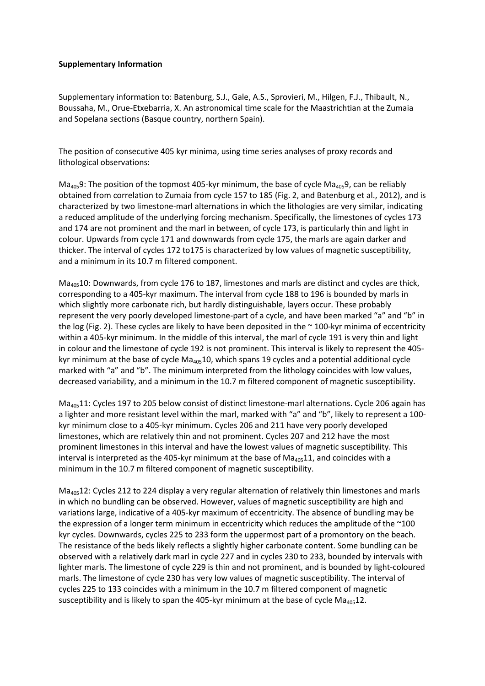## **Supplementary Information**

Supplementary information to: Batenburg, S.J., Gale, A.S., Sprovieri, M., Hilgen, F.J., Thibault, N., Boussaha, M., Orue-Etxebarria, X. An astronomical time scale for the Maastrichtian at the Zumaia and Sopelana sections (Basque country, northern Spain).

The position of consecutive 405 kyr minima, using time series analyses of proxy records and lithological observations:

 $Ma<sub>405</sub>9$ : The position of the topmost 405-kyr minimum, the base of cycle Ma<sub>405</sub>9, can be reliably obtained from correlation to Zumaia from cycle 157 to 185 (Fig. 2, and Batenburg et al., 2012), and is characterized by two limestone-marl alternations in which the lithologies are very similar, indicating a reduced amplitude of the underlying forcing mechanism. Specifically, the limestones of cycles 173 and 174 are not prominent and the marl in between, of cycle 173, is particularly thin and light in colour. Upwards from cycle 171 and downwards from cycle 175, the marls are again darker and thicker. The interval of cycles 172 to175 is characterized by low values of magnetic susceptibility, and a minimum in its 10.7 m filtered component.

Ma<sub>405</sub>10: Downwards, from cycle 176 to 187, limestones and marls are distinct and cycles are thick, corresponding to a 405-kyr maximum. The interval from cycle 188 to 196 is bounded by marls in which slightly more carbonate rich, but hardly distinguishable, layers occur. These probably represent the very poorly developed limestone-part of a cycle, and have been marked "a" and "b" in the log (Fig. 2). These cycles are likely to have been deposited in the  $\sim$  100-kyr minima of eccentricity within a 405-kyr minimum. In the middle of this interval, the marl of cycle 191 is very thin and light in colour and the limestone of cycle 192 is not prominent. This interval is likely to represent the 405 kyr minimum at the base of cycle  $Ma_{405}10$ , which spans 19 cycles and a potential additional cycle marked with "a" and "b". The minimum interpreted from the lithology coincides with low values, decreased variability, and a minimum in the 10.7 m filtered component of magnetic susceptibility.

Ma40511: Cycles 197 to 205 below consist of distinct limestone-marl alternations. Cycle 206 again has a lighter and more resistant level within the marl, marked with "a" and "b", likely to represent a 100 kyr minimum close to a 405-kyr minimum. Cycles 206 and 211 have very poorly developed limestones, which are relatively thin and not prominent. Cycles 207 and 212 have the most prominent limestones in this interval and have the lowest values of magnetic susceptibility. This interval is interpreted as the 405-kyr minimum at the base of  $Ma<sub>405</sub>11$ , and coincides with a minimum in the 10.7 m filtered component of magnetic susceptibility.

 $Ma<sub>405</sub>12$ : Cycles 212 to 224 display a very regular alternation of relatively thin limestones and marls in which no bundling can be observed. However, values of magnetic susceptibility are high and variations large, indicative of a 405-kyr maximum of eccentricity. The absence of bundling may be the expression of a longer term minimum in eccentricity which reduces the amplitude of the ~100 kyr cycles. Downwards, cycles 225 to 233 form the uppermost part of a promontory on the beach. The resistance of the beds likely reflects a slightly higher carbonate content. Some bundling can be observed with a relatively dark marl in cycle 227 and in cycles 230 to 233, bounded by intervals with lighter marls. The limestone of cycle 229 is thin and not prominent, and is bounded by light-coloured marls. The limestone of cycle 230 has very low values of magnetic susceptibility. The interval of cycles 225 to 133 coincides with a minimum in the 10.7 m filtered component of magnetic susceptibility and is likely to span the 405-kyr minimum at the base of cycle  $Ma<sub>405</sub>12$ .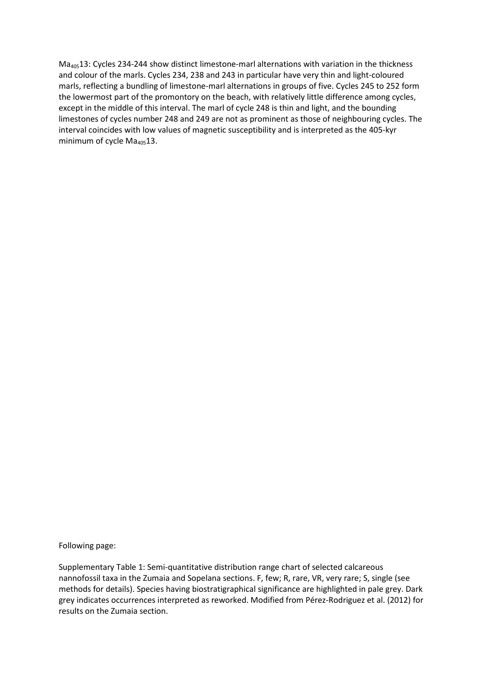Ma40513: Cycles 234-244 show distinct limestone-marl alternations with variation in the thickness and colour of the marls. Cycles 234, 238 and 243 in particular have very thin and light-coloured marls, reflecting a bundling of limestone-marl alternations in groups of five. Cycles 245 to 252 form the lowermost part of the promontory on the beach, with relatively little difference among cycles, except in the middle of this interval. The marl of cycle 248 is thin and light, and the bounding limestones of cycles number 248 and 249 are not as prominent as those of neighbouring cycles. The interval coincides with low values of magnetic susceptibility and is interpreted as the 405-kyr minimum of cycle  $Ma<sub>405</sub>13$ .

Following page:

Supplementary Table 1: Semi-quantitative distribution range chart of selected calcareous nannofossil taxa in the Zumaia and Sopelana sections. F, few; R, rare, VR, very rare; S, single (see methods for details). Species having biostratigraphical significance are highlighted in pale grey. Dark grey indicates occurrences interpreted as reworked. Modified from Pérez-Rodriguez et al. (2012) for results on the Zumaia section.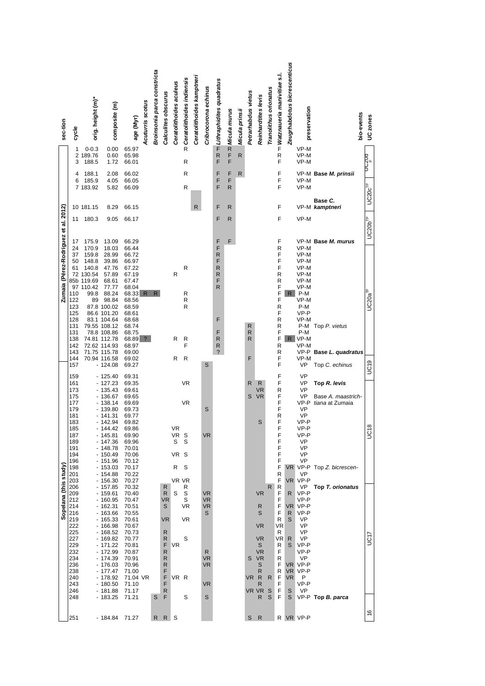|  | sec-tion                | cycle                                                                                                                      | orig. height (m)*                                                                               | composite (m)                                                                                                                                                                                                                                   | age (Myr)                                                                                                                                                                            | Acuturris scotus | Broinsonia parca constricta | Calculites obscurus                                                       | Ceratolithoides aculeus      | <b>7 Ceratolithoides indiensis</b>           | Ceratolithoides kamptneri | Cribrocorona echinus                                                                 | The Lithraphidites quadratus                                                         | $\overline{z}$ Micula murus | Micula prinsii | Petrarhabdus vietus | Reinhardtites levis                                                                                           | Tranolithus orionatus | Times Matznaueria manivitiae s.l.                                                                          | Zeugrhabdotus bicrescenticus                           | preservation                                                                                                                                              | bio-events                                                                      | UC zones                 |
|--|-------------------------|----------------------------------------------------------------------------------------------------------------------------|-------------------------------------------------------------------------------------------------|-------------------------------------------------------------------------------------------------------------------------------------------------------------------------------------------------------------------------------------------------|--------------------------------------------------------------------------------------------------------------------------------------------------------------------------------------|------------------|-----------------------------|---------------------------------------------------------------------------|------------------------------|----------------------------------------------|---------------------------|--------------------------------------------------------------------------------------|--------------------------------------------------------------------------------------|-----------------------------|----------------|---------------------|---------------------------------------------------------------------------------------------------------------|-----------------------|------------------------------------------------------------------------------------------------------------|--------------------------------------------------------|-----------------------------------------------------------------------------------------------------------------------------------------------------------|---------------------------------------------------------------------------------|--------------------------|
|  |                         | 1<br>3                                                                                                                     | $0 - 0.3$<br>2 189.76<br>188.5                                                                  | 0.00<br>0.60<br>1.72                                                                                                                                                                                                                            | 65.97<br>65.98<br>66.01                                                                                                                                                              |                  |                             |                                                                           |                              | R                                            |                           |                                                                                      | $R$ F                                                                                | F<br>F                      | $\mathsf{R}$   |                     |                                                                                                               |                       | $\mathsf R$<br>F                                                                                           |                                                        | VP-M<br>VP-M<br>VP-M                                                                                                                                      |                                                                                 | <sub>e</sub><br>מטגים    |
|  |                         | 4<br>6                                                                                                                     | 188.1<br>185.9<br>7 183.92                                                                      | 2.08<br>4.05<br>5.82                                                                                                                                                                                                                            | 66.02<br>66.05<br>66.09                                                                                                                                                              |                  |                             |                                                                           |                              | R<br>R                                       |                           |                                                                                      | F<br>F<br>F                                                                          | F<br>F<br>R                 | R              |                     |                                                                                                               |                       | F<br>F<br>F                                                                                                |                                                        | VP-M<br>VP-M                                                                                                                                              | VP-M Base M. prinsii                                                            | UC20c <sup>TP</sup>      |
|  |                         |                                                                                                                            | 10 181.15                                                                                       | 8.29                                                                                                                                                                                                                                            | 66.15                                                                                                                                                                                |                  |                             |                                                                           |                              |                                              | R                         |                                                                                      | F                                                                                    | R                           |                |                     |                                                                                                               |                       | F                                                                                                          |                                                        |                                                                                                                                                           | Base C.<br>VP-M kamptneri                                                       |                          |
|  | et al. 2012)            | 11                                                                                                                         | 180.3                                                                                           | 9.05                                                                                                                                                                                                                                            | 66.17                                                                                                                                                                                |                  |                             |                                                                           |                              |                                              |                           |                                                                                      | F                                                                                    | R                           |                |                     |                                                                                                               |                       | F                                                                                                          |                                                        | VP-M                                                                                                                                                      |                                                                                 | $UC20b^{TP}$             |
|  | Zumaia (Pérez-Rodríguez | 17<br>24<br>37<br>50<br>61<br>110<br>122<br>123<br>125<br>128<br>131<br>131<br>138<br>142<br>143<br>144<br>157             | 175.9<br>170.9<br>159.8<br>148.8<br>140.8<br>72 130.54<br>85b 119.69<br>97 110.42<br>99.8<br>89 | 13.09<br>18.03<br>28.99<br>39.86<br>47.76<br>57.89<br>68.61<br>77.77<br>88.24<br>98.84<br>87.8 100.02<br>86.6 101.20<br>83.1 104.64<br>79.55 108.12<br>78.8 108.86<br>74.81 112.78<br>72.62 114.93<br>71.75 115.78<br>70.94 116.58<br>$-124.08$ | 66.29<br>66.44<br>66.72<br>66.97<br>67.22<br>67.19<br>67.47<br>68.04<br>68.33 R<br>68.56<br>68.59<br>68.61<br>68.68<br>68.74<br>68.75<br>68.89 ?<br>68.97<br>69.00<br>69.02<br>69.27 |                  | R.                          |                                                                           | R<br>R<br>R                  | R<br>R<br>R<br>R<br>R<br>F<br>R              |                           | S                                                                                    | F<br>F<br>R<br>F<br>R<br>R<br>F<br>R<br>F<br>F<br>R<br>R<br>$\overline{\phantom{a}}$ | F                           |                | R<br>R<br>R<br>F    |                                                                                                               |                       | F<br>R<br>F<br>F<br>F<br>R<br>R<br>F<br>F<br>F<br>$\mathsf R$<br>F<br>R<br>R<br>F<br>F<br>R<br>R<br>F<br>F | R                                                      | VP-M<br>VP-M<br>VP-M<br>VP-M<br>VP-M<br>VP-M<br>VP-M<br>P-M<br>VP-M<br>P-M<br>VP-P<br>VP-M<br>P-M<br>P-M<br>$R$ VP-M<br>VP-M<br>VP-P<br>VP-M<br><b>VP</b> | VP-M Base M. murus<br>Top P. vietus<br>Base L. quadratus<br>Top C. echinus      | $UC20a^{TP}$             |
|  |                         | 159<br>161<br>173<br>175<br>177<br>179<br>181<br>183<br>185<br>187<br>189<br>191<br>194<br>196<br>198<br>201               |                                                                                                 | $-125.40$<br>$-127.23$<br>- 135.43<br>$-136.67$<br>$-138.14$<br>$-139.80$<br>$-141.31$<br>$-142.94$<br>- 144.42<br>$-145.81$<br>$-147.36$<br>- 148.78<br>$-150.49$<br>$-151.96$<br>$-153.03$<br>$-154.88$                                       | 69.31<br>69.35<br>69.61<br>69.65<br>69.69<br>69.73<br>69.77<br>69.82<br>69.86<br>69.90<br>69.96<br>70.01<br>70.06<br>70.12<br>70.17<br>70.22                                         |                  |                             |                                                                           | VR<br>VR S<br>S<br>VR S<br>R | <b>VR</b><br><b>VR</b><br>S<br>S             |                           | S<br><b>VR</b>                                                                       |                                                                                      |                             |                | R<br>S              | R<br>VR<br><b>VR</b><br>S                                                                                     |                       | F<br>F<br>R<br>F<br>F<br>F<br>R<br>F<br>F<br>F<br>F<br>F<br>F<br>F<br>F<br>R                               | VR.                                                    | <b>VP</b><br><b>VP</b><br><b>VP</b><br><b>VP</b><br>VP-P<br><b>VP</b><br><b>VP</b><br>VP-P<br>VP-P<br>VP-P<br>VP<br>VP<br>VP<br>VP<br>VP                  | Top R. levis<br>Base A. maastrich-<br>tiana at Zumaia<br>VP-P Top Z. bicrescen- | UC <sub>19</sub><br>UC18 |
|  | Sopelana (this study)   | 203<br>206<br>209<br>212<br>214<br>216<br>219<br>222<br>225<br>227<br>229<br>232<br>234<br>236<br>238<br>240<br>243<br>246 |                                                                                                 | $-156.30$<br>$-157.85$<br>$-159.61$<br>$-160.95$<br>$-162.31$<br>$-163.66$<br>- 165.33<br>$-166.98$<br>$-168.52$<br>$-169.82$<br>$-171.22$<br>$-172.99$<br>- 174.39<br>$-176.03$<br>$-177.47$<br>- 178.92<br>$-180.50$<br>$-181.88$             | 70.27<br>70.32<br>70.40<br>70.47<br>70.51<br>70.55<br>70.61<br>70.67<br>70.73<br>70.77<br>70.81<br>70.87<br>70.91<br>70.96<br>71.00<br>71.04 VR<br>71.10<br>71.17                    |                  |                             | R<br>R<br>VR<br>S<br>VR<br>R<br>R<br>F<br>R<br>R<br>R<br>F<br>F<br>F<br>R | S<br><b>VR</b><br>VR R       | VR VR<br>R<br>S<br>S<br>VR<br><b>VR</b><br>S |                           | <b>VR</b><br><b>VR</b><br><b>VR</b><br>S<br>R<br><b>VR</b><br><b>VR</b><br><b>VR</b> |                                                                                      |                             |                | s<br>VR.            | <b>VR</b><br>R<br>S<br><b>VR</b><br><b>VR</b><br>S<br><b>VR</b><br>VR<br>S<br>R<br>R<br>$\mathsf{R}$<br>VR VR | R.<br>R<br>S          | F<br>R<br>F<br>F<br>F<br>F<br>R<br>VR<br>R<br>VR<br>R<br>F<br>R<br>F<br>R<br>F<br>F<br>F                   | R<br>VR.<br>R<br>S<br>R<br>S<br>VR.<br>VR.<br>VR.<br>S | VR VP-P<br>VP<br>VP-P<br>VP-P<br>VP-P<br>VP-P<br>VP<br>VP<br>VP<br>VP<br>VP-P<br>VP-P<br>VP<br>VP-P<br>VP-P<br>P<br>VP-P<br>VP                            | Top T. orionatus                                                                | UC17                     |
|  |                         | 248                                                                                                                        |                                                                                                 | - 183.25                                                                                                                                                                                                                                        | 71.21                                                                                                                                                                                |                  | S                           | F                                                                         |                              | S                                            |                           | S                                                                                    |                                                                                      |                             |                |                     | $\mathsf{R}$                                                                                                  | S                     | F                                                                                                          | S                                                      |                                                                                                                                                           | $VP-P$ Top B. parca                                                             | 9                        |
|  |                         | 251                                                                                                                        |                                                                                                 | - 184.84 71.27                                                                                                                                                                                                                                  |                                                                                                                                                                                      |                  | R                           | $R_{\parallel}$                                                           | S                            |                                              |                           |                                                                                      |                                                                                      |                             |                | S                   | $\mathsf{R}$                                                                                                  |                       |                                                                                                            |                                                        | R VR VP-P                                                                                                                                                 |                                                                                 |                          |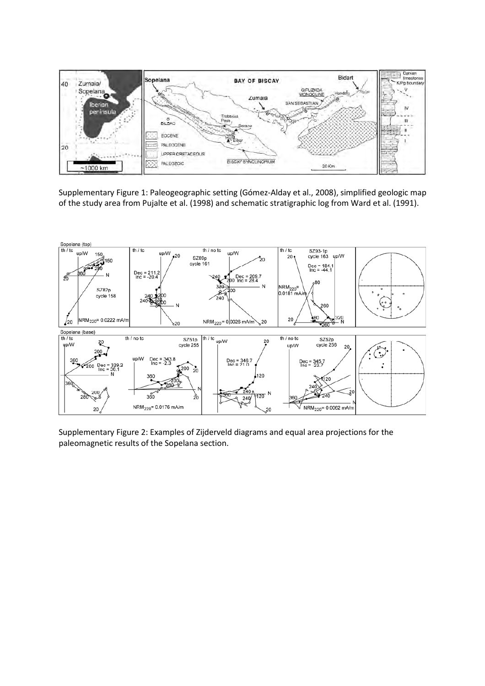

Supplementary Figure 1: Paleogeographic setting (Gómez-Alday et al., 2008), simplified geologic map of the study area from Pujalte et al. (1998) and schematic stratigraphic log from Ward et al. (1991).



Supplementary Figure 2: Examples of Zijderveld diagrams and equal area projections for the paleomagnetic results of the Sopelana section.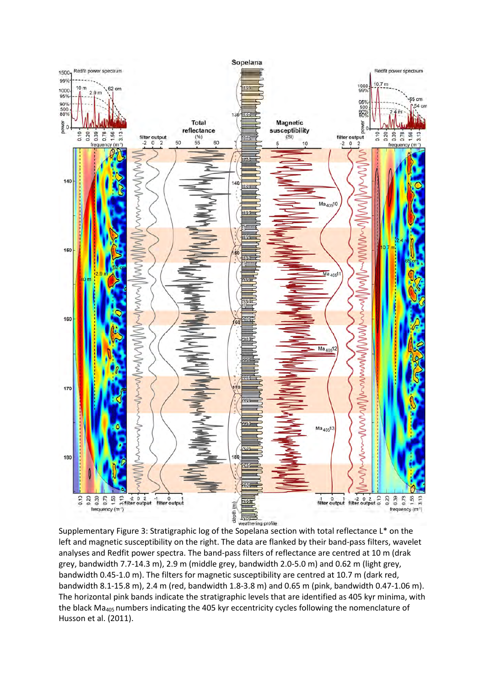

Supplementary Figure 3: Stratigraphic log of the Sopelana section with total reflectance L\* on the left and magnetic susceptibility on the right. The data are flanked by their band-pass filters, wavelet analyses and Redfit power spectra. The band-pass filters of reflectance are centred at 10 m (drak grey, bandwidth 7.7-14.3 m), 2.9 m (middle grey, bandwidth 2.0-5.0 m) and 0.62 m (light grey, bandwidth 0.45-1.0 m). The filters for magnetic susceptibility are centred at 10.7 m (dark red, bandwidth 8.1-15.8 m), 2.4 m (red, bandwidth 1.8-3.8 m) and 0.65 m (pink, bandwidth 0.47-1.06 m). The horizontal pink bands indicate the stratigraphic levels that are identified as 405 kyr minima, with the black Ma<sub>405</sub> numbers indicating the 405 kyr eccentricity cycles following the nomenclature of Husson et al. (2011).